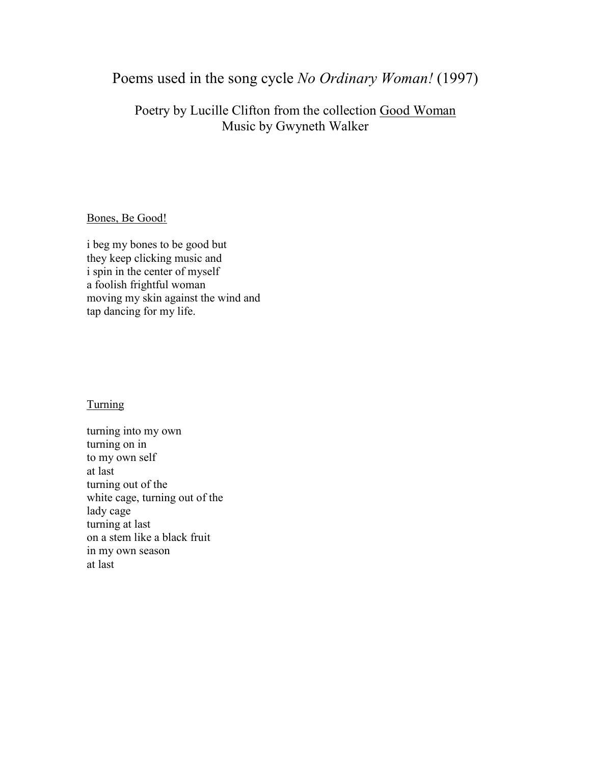# Poems used in the song cycle *No Ordinary Woman!* (1997)

# Poetry by Lucille Clifton from the collection Good Woman Music by Gwyneth Walker

## Bones, Be Good!

i beg my bones to be good but they keep clicking music and i spin in the center of myself a foolish frightful woman moving my skin against the wind and tap dancing for my life.

## Turning

turning into my own turning on in to my own self at last turning out of the white cage, turning out of the lady cage turning at last on a stem like a black fruit in my own season at last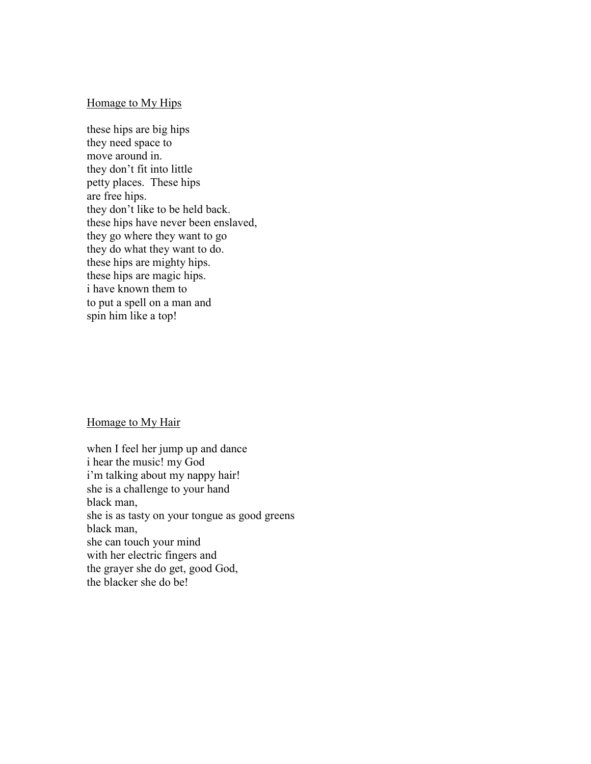#### Homage to My Hips

these hips are big hips they need space to move around in. they don't fit into little petty places. These hips are free hips. they don't like to be held back. these hips have never been enslaved, they go where they want to go they do what they want to do. these hips are mighty hips. these hips are magic hips. i have known them to to put a spell on a man and spin him like a top!

#### Homage to My Hair

when I feel her jump up and dance i hear the music! my God i'm talking about my nappy hair! she is a challenge to your hand black man, she is as tasty on your tongue as good greens black man, she can touch your mind with her electric fingers and the grayer she do get, good God, the blacker she do be!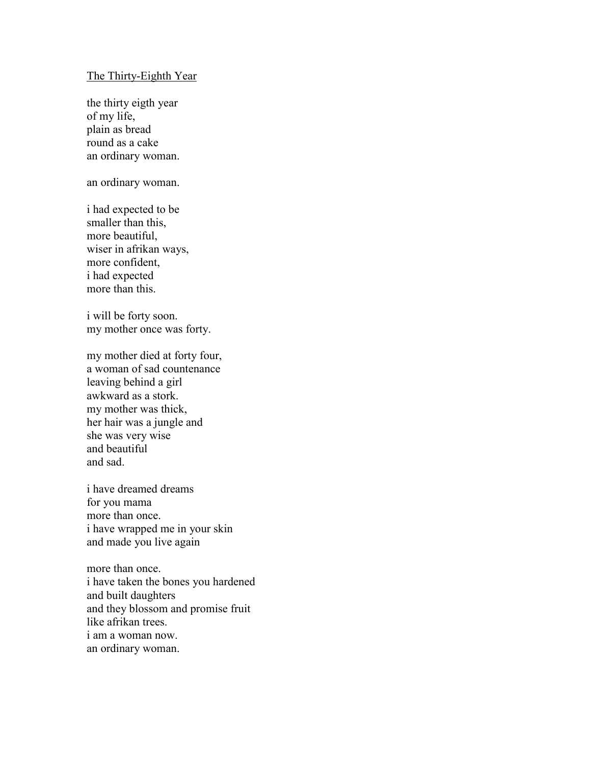#### The Thirty-Eighth Year

the thirty eigth year of my life, plain as bread round as a cake an ordinary woman.

an ordinary woman.

i had expected to be smaller than this, more beautiful, wiser in afrikan ways, more confident, i had expected more than this.

i will be forty soon. my mother once was forty.

my mother died at forty four, a woman of sad countenance leaving behind a girl awkward as a stork. my mother was thick, her hair was a jungle and she was very wise and beautiful and sad.

i have dreamed dreams for you mama more than once. i have wrapped me in your skin and made you live again

more than once. i have taken the bones you hardened and built daughters and they blossom and promise fruit like afrikan trees. i am a woman now. an ordinary woman.